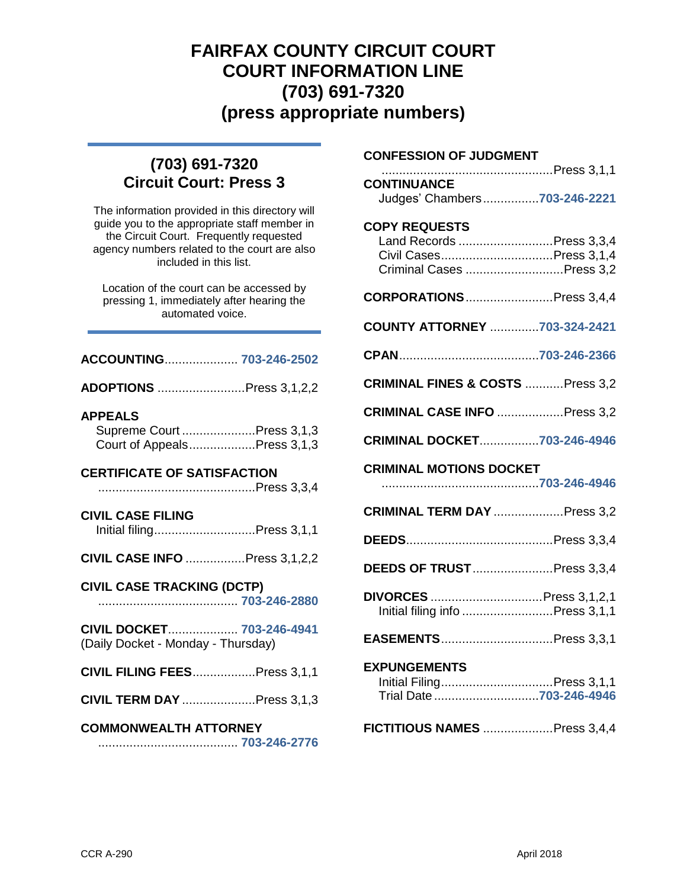## **FAIRFAX COUNTY CIRCUIT COURT COURT INFORMATION LINE (703) 691-7320 (press appropriate numbers)**

## **(703) 691-7320 Circuit Court: Press 3**

The information provided in this directory will guide you to the appropriate staff member in the Circuit Court. Frequently requested agency numbers related to the court are also included in this list.

Location of the court can be accessed by pressing 1, immediately after hearing the automated voice.

| ACCOUNTING 703-246-2502                                                    |  |  |
|----------------------------------------------------------------------------|--|--|
| ADOPTIONS Press 3,1,2,2                                                    |  |  |
| <b>APPEALS</b><br>Supreme Court Press 3,1,3<br>Court of AppealsPress 3,1,3 |  |  |
| <b>CERTIFICATE OF SATISFACTION</b>                                         |  |  |
| <b>CIVIL CASE FILING</b><br>Initial filingPress 3,1,1                      |  |  |
| <b>CIVIL CASE INFO </b> Press 3,1,2,2                                      |  |  |
| <b>CIVIL CASE TRACKING (DCTP)</b>                                          |  |  |
| CIVIL DOCKET 703-246-4941<br>(Daily Docket - Monday - Thursday)            |  |  |
| <b>CIVIL FILING FEES</b> Press 3,1,1                                       |  |  |
| <b>CIVIL TERM DAY</b> Press 3,1,3                                          |  |  |
| <b>COMMONWEALTH ATTORNEY</b>                                               |  |  |

## **CONFESSION OF JUDGMENT**

| CONTINUANCE<br>Judges' Chambers703-246-2221                                                            |  |
|--------------------------------------------------------------------------------------------------------|--|
| <b>COPY REQUESTS</b><br>Land Records Press 3,3,4<br>Civil CasesPress 3,1,4<br>Criminal Cases Press 3,2 |  |
| <b>CORPORATIONS</b> Press 3,4,4                                                                        |  |
| COUNTY ATTORNEY 703-324-2421                                                                           |  |
|                                                                                                        |  |
| CRIMINAL FINES & COSTS Press 3,2                                                                       |  |
| <b>CRIMINAL CASE INFO Press 3,2</b>                                                                    |  |
| <b>CRIMINAL DOCKET703-246-4946</b>                                                                     |  |
| <b>CRIMINAL MOTIONS DOCKET</b>                                                                         |  |
| <b>CRIMINAL TERM DAY</b> Press 3,2                                                                     |  |
|                                                                                                        |  |
| <b>DEEDS OF TRUST </b> Press 3,3,4                                                                     |  |
| DIVORCES  Press 3,1,2,1<br>Initial filing info Press 3,1,1                                             |  |
| EASEMENTSPress 3,3,1                                                                                   |  |
| <b>EXPUNGEMENTS</b>                                                                                    |  |
| Initial FilingPress 3,1,1<br>Trial Date 703-246-4946                                                   |  |